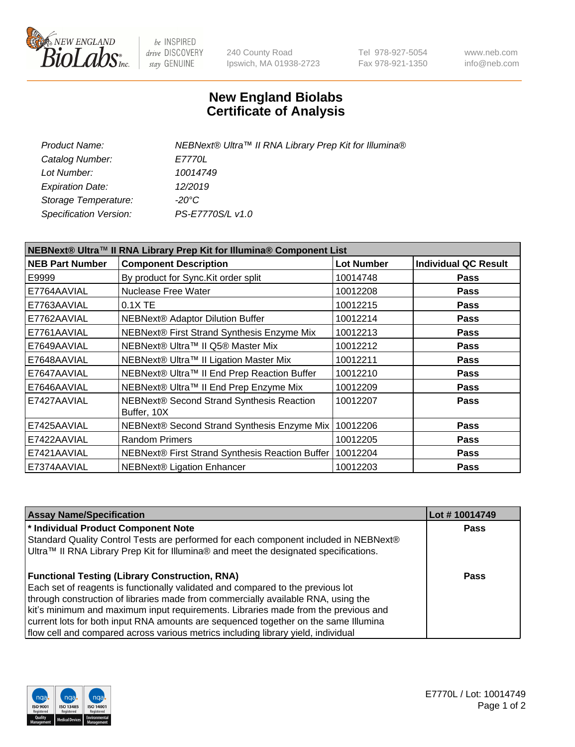

be INSPIRED drive DISCOVERY stay GENUINE

240 County Road Ipswich, MA 01938-2723 Tel 978-927-5054 Fax 978-921-1350 www.neb.com info@neb.com

## **New England Biolabs Certificate of Analysis**

| NEBNext® Ultra™ II RNA Library Prep Kit for Illumina® |
|-------------------------------------------------------|
| <i>E7770L</i>                                         |
| 10014749                                              |
| 12/2019                                               |
| -20°C                                                 |
| PS-E7770S/L v1.0                                      |
|                                                       |

| NEBNext® Ultra™ II RNA Library Prep Kit for Illumina® Component List |                                                          |                   |                             |  |
|----------------------------------------------------------------------|----------------------------------------------------------|-------------------|-----------------------------|--|
| <b>NEB Part Number</b>                                               | <b>Component Description</b>                             | <b>Lot Number</b> | <b>Individual QC Result</b> |  |
| E9999                                                                | By product for Sync. Kit order split                     | 10014748          | <b>Pass</b>                 |  |
| E7764AAVIAL                                                          | <b>Nuclease Free Water</b>                               | 10012208          | <b>Pass</b>                 |  |
| E7763AAVIAL                                                          | 0.1X TE                                                  | 10012215          | <b>Pass</b>                 |  |
| E7762AAVIAL                                                          | NEBNext® Adaptor Dilution Buffer                         | 10012214          | <b>Pass</b>                 |  |
| E7761AAVIAL                                                          | NEBNext® First Strand Synthesis Enzyme Mix               | 10012213          | <b>Pass</b>                 |  |
| E7649AAVIAL                                                          | NEBNext® Ultra™ II Q5® Master Mix                        | 10012212          | <b>Pass</b>                 |  |
| E7648AAVIAL                                                          | NEBNext® Ultra™ II Ligation Master Mix                   | 10012211          | <b>Pass</b>                 |  |
| E7647AAVIAL                                                          | NEBNext® Ultra™ II End Prep Reaction Buffer              | 10012210          | <b>Pass</b>                 |  |
| E7646AAVIAL                                                          | NEBNext® Ultra™ II End Prep Enzyme Mix                   | 10012209          | <b>Pass</b>                 |  |
| E7427AAVIAL                                                          | NEBNext® Second Strand Synthesis Reaction<br>Buffer, 10X | 10012207          | <b>Pass</b>                 |  |
| E7425AAVIAL                                                          | NEBNext® Second Strand Synthesis Enzyme Mix              | 10012206          | Pass                        |  |
| E7422AAVIAL                                                          | <b>Random Primers</b>                                    | 10012205          | <b>Pass</b>                 |  |
| E7421AAVIAL                                                          | NEBNext® First Strand Synthesis Reaction Buffer          | 10012204          | <b>Pass</b>                 |  |
| E7374AAVIAL                                                          | <b>NEBNext® Ligation Enhancer</b>                        | 10012203          | <b>Pass</b>                 |  |

| <b>Assay Name/Specification</b>                                                      | Lot #10014749 |
|--------------------------------------------------------------------------------------|---------------|
| * Individual Product Component Note                                                  | <b>Pass</b>   |
| Standard Quality Control Tests are performed for each component included in NEBNext® |               |
| Ultra™ II RNA Library Prep Kit for Illumina® and meet the designated specifications. |               |
|                                                                                      |               |
| <b>Functional Testing (Library Construction, RNA)</b>                                | <b>Pass</b>   |
| Each set of reagents is functionally validated and compared to the previous lot      |               |
| through construction of libraries made from commercially available RNA, using the    |               |
| kit's minimum and maximum input requirements. Libraries made from the previous and   |               |
| current lots for both input RNA amounts are sequenced together on the same Illumina  |               |
| flow cell and compared across various metrics including library yield, individual    |               |